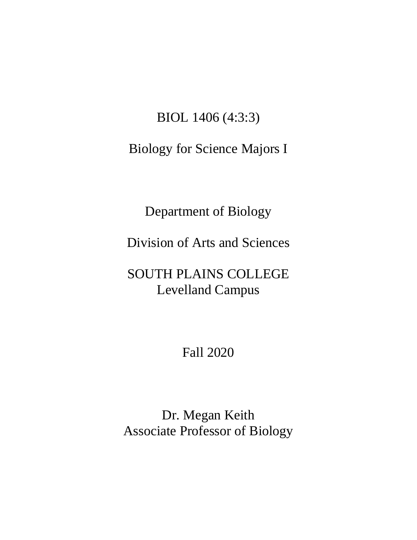## BIOL 1406 (4:3:3)

## Biology for Science Majors I

Department of Biology

Division of Arts and Sciences

## SOUTH PLAINS COLLEGE Levelland Campus

Fall 2020

Dr. Megan Keith Associate Professor of Biology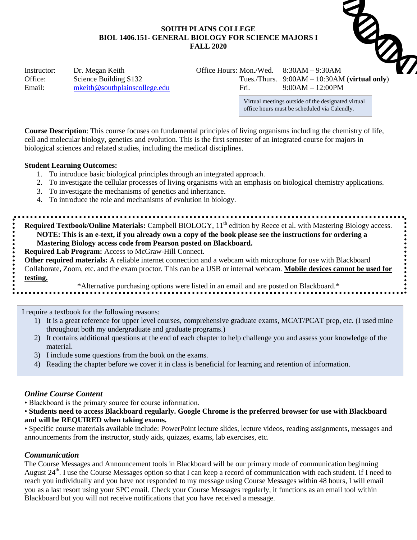# **SOUTH PLAINS COLLEGE BIOL 1406.151- GENERAL BIOLOGY FOR SCIENCE MAJORS I FALL 2020** SOUTH PLAINS<br>
BIOL 1406.151- GENERAL BIOLOGY FOR SCIENCE<br>
FALL 2020<br>
Instructor: Dr. Megan Keith Office Hours: Mon./Wed. 8:30AM – 9:30AM<br>
Tues./Thurs. 9:00AM – 10:30AM (virtual only)



Email: [mkeith@southplainscollege.edu](mailto:mkeith@southplainscollege.edu) Fri. 9:00AM – 12:00PM

Office: Science Building S132 Tues./Thurs. 9:00AM – 10:30AM (**virtual only**)

Virtual meetings outside of the designated virtual office hours must be scheduled via Calendly.

**Course Description**: This course focuses on fundamental principles of living organisms including the chemistry of life, cell and molecular biology, genetics and evolution. This is the first semester of an integrated course for majors in biological sciences and related studies, including the medical disciplines.

#### **Student Learning Outcomes:**

- 1. To introduce basic biological principles through an integrated approach.
- 2. To investigate the cellular processes of living organisms with an emphasis on biological chemistry applications.
- 3. To investigate the mechanisms of genetics and inheritance.
- 4. To introduce the role and mechanisms of evolution in biology.

**Required Textbook/Online Materials:** Campbell BIOLOGY, 11<sup>th</sup> edition by Reece et al. with Mastering Biology access. **NOTE: This is an e-text, if you already own a copy of the book please see the instructions for ordering a Mastering Biology access code from Pearson posted on Blackboard.** 

**Required Lab Program:** Access to McGraw-Hill Connect.

**Other required materials:** A reliable internet connection and a webcam with microphone for use with Blackboard Collaborate, Zoom, etc. and the exam proctor. This can be a USB or internal webcam. **Mobile devices cannot be used for testing.**

\*Alternative purchasing options were listed in an email and are posted on Blackboard.\*

I require a textbook for the following reasons:

- 1) It is a great reference for upper level courses, comprehensive graduate exams, MCAT/PCAT prep, etc. (I used mine throughout both my undergraduate and graduate programs.)
- 2) It contains additional questions at the end of each chapter to help challenge you and assess your knowledge of the material.
- 3) I include some questions from the book on the exams.
- 4) Reading the chapter before we cover it in class is beneficial for learning and retention of information.

#### *Online Course Content*

• Blackboard is the primary source for course information.

• **Students need to access Blackboard regularly. Google Chrome is the preferred browser for use with Blackboard and will be REQUIRED when taking exams.**

• Specific course materials available include: PowerPoint lecture slides, lecture videos, reading assignments, messages and announcements from the instructor, study aids, quizzes, exams, lab exercises, etc.

#### *Communication*

The Course Messages and Announcement tools in Blackboard will be our primary mode of communication beginning August 24<sup>th</sup>. I use the Course Messages option so that I can keep a record of communication with each student. If I need to reach you individually and you have not responded to my message using Course Messages within 48 hours, I will email you as a last resort using your SPC email. Check your Course Messages regularly, it functions as an email tool within Blackboard but you will not receive notifications that you have received a message.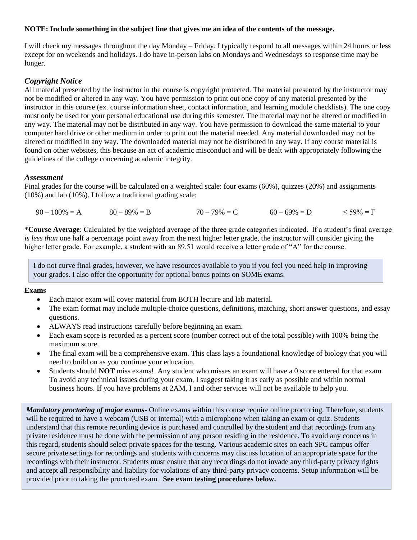#### **NOTE: Include something in the subject line that gives me an idea of the contents of the message.**

I will check my messages throughout the day Monday – Friday. I typically respond to all messages within 24 hours or less except for on weekends and holidays. I do have in-person labs on Mondays and Wednesdays so response time may be longer.

#### *Copyright Notice*

All material presented by the instructor in the course is copyright protected. The material presented by the instructor may not be modified or altered in any way. You have permission to print out one copy of any material presented by the instructor in this course (ex. course information sheet, contact information, and learning module checklists). The one copy must only be used for your personal educational use during this semester. The material may not be altered or modified in any way. The material may not be distributed in any way. You have permission to download the same material to your computer hard drive or other medium in order to print out the material needed. Any material downloaded may not be altered or modified in any way. The downloaded material may not be distributed in any way. If any course material is found on other websites, this because an act of academic misconduct and will be dealt with appropriately following the guidelines of the college concerning academic integrity.

#### *Assessment*

Final grades for the course will be calculated on a weighted scale: four exams (60%), quizzes (20%) and assignments (10%) and lab (10%). I follow a traditional grading scale:

 $90 - 100\% = A$   $80 - 89\% = B$   $70 - 79\% = C$   $60 - 69\% = D$   $\leq 59\% = F$ 

\***Course Average**: Calculated by the weighted average of the three grade categories indicated. If a student's final average *is less than* one half a percentage point away from the next higher letter grade, the instructor will consider giving the higher letter grade. For example, a student with an 89.51 would receive a letter grade of "A" for the course.

I do not curve final grades, however, we have resources available to you if you feel you need help in improving your grades. I also offer the opportunity for optional bonus points on SOME exams.

#### **Exams**

- Each major exam will cover material from BOTH lecture and lab material.
- The exam format may include multiple-choice questions, definitions, matching, short answer questions, and essay questions.
- ALWAYS read instructions carefully before beginning an exam.
- Each exam score is recorded as a percent score (number correct out of the total possible) with 100% being the maximum score.
- The final exam will be a comprehensive exam. This class lays a foundational knowledge of biology that you will need to build on as you continue your education.
- Students should **NOT** miss exams! Any student who misses an exam will have a 0 score entered for that exam. To avoid any technical issues during your exam, I suggest taking it as early as possible and within normal business hours. If you have problems at 2AM, I and other services will not be available to help you.

*Mandatory proctoring of major exams-* Online exams within this course require online proctoring. Therefore, students will be required to have a webcam (USB or internal) with a microphone when taking an exam or quiz. Students understand that this remote recording device is purchased and controlled by the student and that recordings from any private residence must be done with the permission of any person residing in the residence. To avoid any concerns in this regard, students should select private spaces for the testing. Various academic sites on each SPC campus offer secure private settings for recordings and students with concerns may discuss location of an appropriate space for the recordings with their instructor. Students must ensure that any recordings do not invade any third-party privacy rights and accept all responsibility and liability for violations of any third-party privacy concerns. Setup information will be provided prior to taking the proctored exam. **See exam testing procedures below.**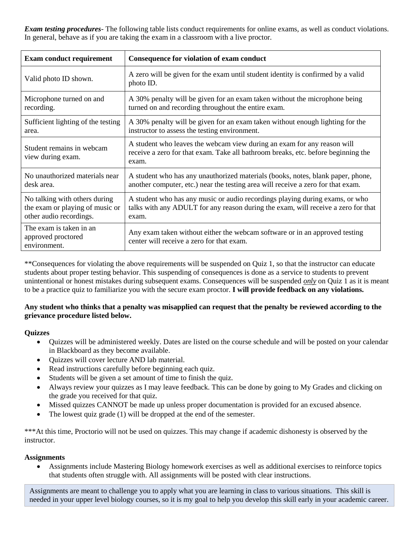*Exam testing procedures*- The following table lists conduct requirements for online exams, as well as conduct violations. In general, behave as if you are taking the exam in a classroom with a live proctor.

| <b>Exam conduct requirement</b>                               | Consequence for violation of exam conduct                                                                                                                             |
|---------------------------------------------------------------|-----------------------------------------------------------------------------------------------------------------------------------------------------------------------|
| Valid photo ID shown.                                         | A zero will be given for the exam until student identity is confirmed by a valid<br>photo ID.                                                                         |
| Microphone turned on and                                      | A 30% penalty will be given for an exam taken without the microphone being                                                                                            |
| recording.                                                    | turned on and recording throughout the entire exam.                                                                                                                   |
| Sufficient lighting of the testing                            | A 30% penalty will be given for an exam taken without enough lighting for the                                                                                         |
| area.                                                         | instructor to assess the testing environment.                                                                                                                         |
| Student remains in webcam<br>view during exam.                | A student who leaves the webcam view during an exam for any reason will<br>receive a zero for that exam. Take all bathroom breaks, etc. before beginning the<br>exam. |
| No unauthorized materials near                                | A student who has any unauthorized materials (books, notes, blank paper, phone,                                                                                       |
| desk area.                                                    | another computer, etc.) near the testing area will receive a zero for that exam.                                                                                      |
| No talking with others during                                 | A student who has any music or audio recordings playing during exams, or who                                                                                          |
| the exam or playing of music or                               | talks with any ADULT for any reason during the exam, will receive a zero for that                                                                                     |
| other audio recordings.                                       | exam.                                                                                                                                                                 |
| The exam is taken in an<br>approved proctored<br>environment. | Any exam taken without either the webcam software or in an approved testing<br>center will receive a zero for that exam.                                              |

\*\*Consequences for violating the above requirements will be suspended on Quiz 1, so that the instructor can educate students about proper testing behavior. This suspending of consequences is done as a service to students to prevent unintentional or honest mistakes during subsequent exams. Consequences will be suspended *only* on Quiz 1 as it is meant to be a practice quiz to familiarize you with the secure exam proctor. **I will provide feedback on any violations.**

#### **Any student who thinks that a penalty was misapplied can request that the penalty be reviewed according to the grievance procedure listed below.**

#### **Quizzes**

- Quizzes will be administered weekly. Dates are listed on the course schedule and will be posted on your calendar in Blackboard as they become available.
- Quizzes will cover lecture AND lab material.
- Read instructions carefully before beginning each quiz.
- Students will be given a set amount of time to finish the quiz.
- Always review your quizzes as I may leave feedback. This can be done by going to My Grades and clicking on the grade you received for that quiz.
- Missed quizzes CANNOT be made up unless proper documentation is provided for an excused absence.
- The lowest quiz grade (1) will be dropped at the end of the semester.

\*\*\*At this time, Proctorio will not be used on quizzes. This may change if academic dishonesty is observed by the instructor.

#### **Assignments**

 Assignments include Mastering Biology homework exercises as well as additional exercises to reinforce topics that students often struggle with. All assignments will be posted with clear instructions.

Assignments are meant to challenge you to apply what you are learning in class to various situations. This skill is needed in your upper level biology courses, so it is my goal to help you develop this skill early in your academic career.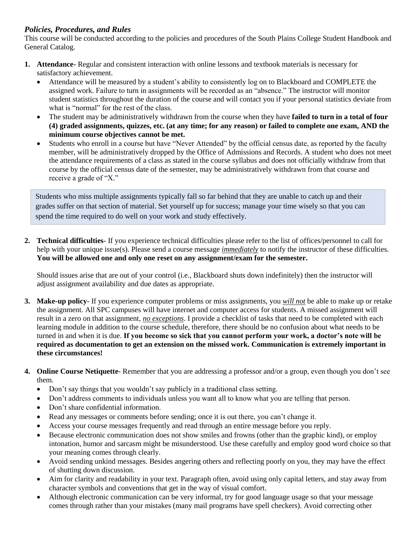#### *Policies, Procedures, and Rules*

This course will be conducted according to the policies and procedures of the South Plains College Student Handbook and General Catalog.

- **1. Attendance-** Regular and consistent interaction with online lessons and textbook materials is necessary for satisfactory achievement.
	- Attendance will be measured by a student's ability to consistently log on to Blackboard and COMPLETE the assigned work. Failure to turn in assignments will be recorded as an "absence." The instructor will monitor student statistics throughout the duration of the course and will contact you if your personal statistics deviate from what is "normal" for the rest of the class.
	- The student may be administratively withdrawn from the course when they have **failed to turn in a total of four (4) graded assignments, quizzes, etc. (at any time; for any reason) or failed to complete one exam, AND the minimum course objectives cannot be met.**
	- Students who enroll in a course but have "Never Attended" by the official census date, as reported by the faculty member, will be administratively dropped by the Office of Admissions and Records. A student who does not meet the attendance requirements of a class as stated in the course syllabus and does not officially withdraw from that course by the official census date of the semester, may be administratively withdrawn from that course and receive a grade of "X."

Students who miss multiple assignments typically fall so far behind that they are unable to catch up and their grades suffer on that section of material. Set yourself up for success; manage your time wisely so that you can spend the time required to do well on your work and study effectively.

**2. Technical difficulties**- If you experience technical difficulties please refer to the list of offices/personnel to call for help with your unique issue(s). Please send a course message *immediately* to notify the instructor of these difficulties. **You will be allowed one and only one reset on any assignment/exam for the semester.**

Should issues arise that are out of your control (i.e., Blackboard shuts down indefinitely) then the instructor will adjust assignment availability and due dates as appropriate.

- **3. Make-up policy** If you experience computer problems or miss assignments, you *will not* be able to make up or retake the assignment. All SPC campuses will have internet and computer access for students. A missed assignment will result in a zero on that assignment, *no exceptions*. I provide a checklist of tasks that need to be completed with each learning module in addition to the course schedule, therefore, there should be no confusion about what needs to be turned in and when it is due. **If you become so sick that you cannot perform your work, a doctor's note will be required as documentation to get an extension on the missed work. Communication is extremely important in these circumstances!**
- **4. Online Course Netiquette** Remember that you are addressing a professor and/or a group, even though you don't see them.
	- Don't say things that you wouldn't say publicly in a traditional class setting.
	- Don't address comments to individuals unless you want all to know what you are telling that person.
	- Don't share confidential information.
	- Read any messages or comments before sending; once it is out there, you can't change it.
	- Access your course messages frequently and read through an entire message before you reply.
	- Because electronic communication does not show smiles and frowns (other than the graphic kind), or employ intonation, humor and sarcasm might be misunderstood. Use these carefully and employ good word choice so that your meaning comes through clearly.
	- Avoid sending unkind messages. Besides angering others and reflecting poorly on you, they may have the effect of shutting down discussion.
	- Aim for clarity and readability in your text. Paragraph often, avoid using only capital letters, and stay away from character symbols and conventions that get in the way of visual comfort.
	- Although electronic communication can be very informal, try for good language usage so that your message comes through rather than your mistakes (many mail programs have spell checkers). Avoid correcting other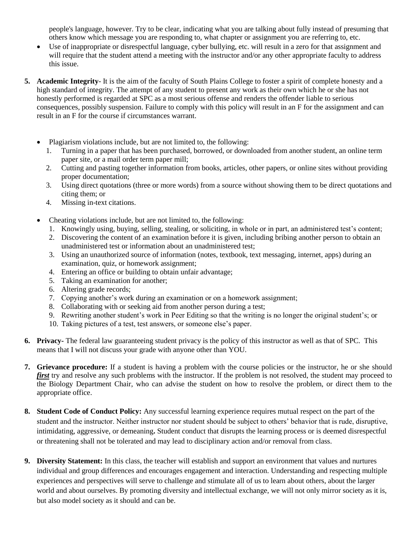people's language, however. Try to be clear, indicating what you are talking about fully instead of presuming that others know which message you are responding to, what chapter or assignment you are referring to, etc.

- Use of inappropriate or disrespectful language, cyber bullying, etc. will result in a zero for that assignment and will require that the student attend a meeting with the instructor and/or any other appropriate faculty to address this issue.
- **5. Academic Integrity** It is the aim of the faculty of South Plains College to foster a spirit of complete honesty and a high standard of integrity. The attempt of any student to present any work as their own which he or she has not honestly performed is regarded at SPC as a most serious offense and renders the offender liable to serious consequences, possibly suspension. Failure to comply with this policy will result in an F for the assignment and can result in an F for the course if circumstances warrant.
	- Plagiarism violations include, but are not limited to, the following:
		- 1. Turning in a paper that has been purchased, borrowed, or downloaded from another student, an online term paper site, or a mail order term paper mill;
		- 2. Cutting and pasting together information from books, articles, other papers, or online sites without providing proper documentation;
		- 3. Using direct quotations (three or more words) from a source without showing them to be direct quotations and citing them; or
		- 4. Missing in-text citations.
	- Cheating violations include, but are not limited to, the following:
		- 1. Knowingly using, buying, selling, stealing, or soliciting, in whole or in part, an administered test's content;
		- 2. Discovering the content of an examination before it is given, including bribing another person to obtain an unadministered test or information about an unadministered test;
		- 3. Using an unauthorized source of information (notes, textbook, text messaging, internet, apps) during an examination, quiz, or homework assignment;
		- 4. Entering an office or building to obtain unfair advantage;
		- 5. Taking an examination for another;
		- 6. Altering grade records;
		- 7. Copying another's work during an examination or on a homework assignment;
		- 8. Collaborating with or seeking aid from another person during a test;
		- 9. Rewriting another student's work in Peer Editing so that the writing is no longer the original student's; or
		- 10. Taking pictures of a test, test answers, or someone else's paper.
- **6. Privacy-** The federal law guaranteeing student privacy is the policy of this instructor as well as that of SPC. This means that I will not discuss your grade with anyone other than YOU.
- **7. Grievance procedure:** If a student is having a problem with the course policies or the instructor, he or she should *first* try and resolve any such problems with the instructor. If the problem is not resolved, the student may proceed to the Biology Department Chair, who can advise the student on how to resolve the problem, or direct them to the appropriate office.
- **8. Student Code of Conduct Policy:** Any successful learning experience requires mutual respect on the part of the student and the instructor. Neither instructor nor student should be subject to others' behavior that is rude, disruptive, intimidating, aggressive, or demeaning**.** Student conduct that disrupts the learning process or is deemed disrespectful or threatening shall not be tolerated and may lead to disciplinary action and/or removal from class.
- **9. Diversity Statement:** In this class, the teacher will establish and support an environment that values and nurtures individual and group differences and encourages engagement and interaction. Understanding and respecting multiple experiences and perspectives will serve to challenge and stimulate all of us to learn about others, about the larger world and about ourselves. By promoting diversity and intellectual exchange, we will not only mirror society as it is, but also model society as it should and can be.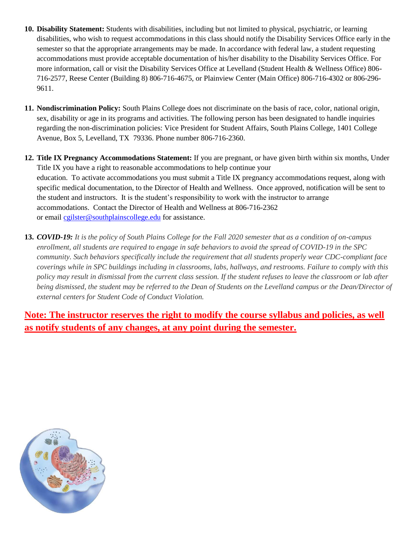- **10. Disability Statement:** Students with disabilities, including but not limited to physical, psychiatric, or learning disabilities, who wish to request accommodations in this class should notify the Disability Services Office early in the semester so that the appropriate arrangements may be made. In accordance with federal law, a student requesting accommodations must provide acceptable documentation of his/her disability to the Disability Services Office. For more information, call or visit the Disability Services Office at Levelland (Student Health & Wellness Office) 806- 716-2577, Reese Center (Building 8) 806-716-4675, or Plainview Center (Main Office) 806-716-4302 or 806-296- 9611.
- **11. Nondiscrimination Policy:** South Plains College does not discriminate on the basis of race, color, national origin, sex, disability or age in its programs and activities. The following person has been designated to handle inquiries regarding the non-discrimination policies: Vice President for Student Affairs, South Plains College, 1401 College Avenue, Box 5, Levelland, TX 79336. Phone number 806-716-2360.
- **12. Title IX Pregnancy Accommodations Statement:** If you are pregnant, or have given birth within six months, Under Title IX you have a right to reasonable accommodations to help continue your education. To [activate](http://www.southplainscollege.edu/employees/manualshandbooks/facultyhandbook/sec4.php) accommodations you must submit a Title IX pregnancy accommodations request, along with specific medical documentation, to the Director of Health and Wellness. Once approved, notification will be sent to the student and instructors. It is the student's responsibility to work with the instructor to arrange accommodations. Contact the Director of Health and Wellness at 806-716-2362 or email [cgilster@southplainscollege.edu](mailto:cgilster@southplainscollege.edu) for assistance.
- **13.** *COVID-19: It is the policy of South Plains College for the Fall 2020 semester that as a condition of on-campus enrollment, all students are required to engage in safe behaviors to avoid the spread of COVID-19 in the SPC community. Such behaviors specifically include the requirement that all students properly wear CDC-compliant face coverings while in SPC buildings including in classrooms, labs, hallways, and restrooms. Failure to comply with this policy may result in dismissal from the current class session. If the student refuses to leave the classroom or lab after being dismissed, the student may be referred to the Dean of Students on the Levelland campus or the Dean/Director of external centers for Student Code of Conduct Violation.*

**Note: The instructor reserves the right to modify the course syllabus and policies, as well as notify students of any changes, at any point during the semester.**